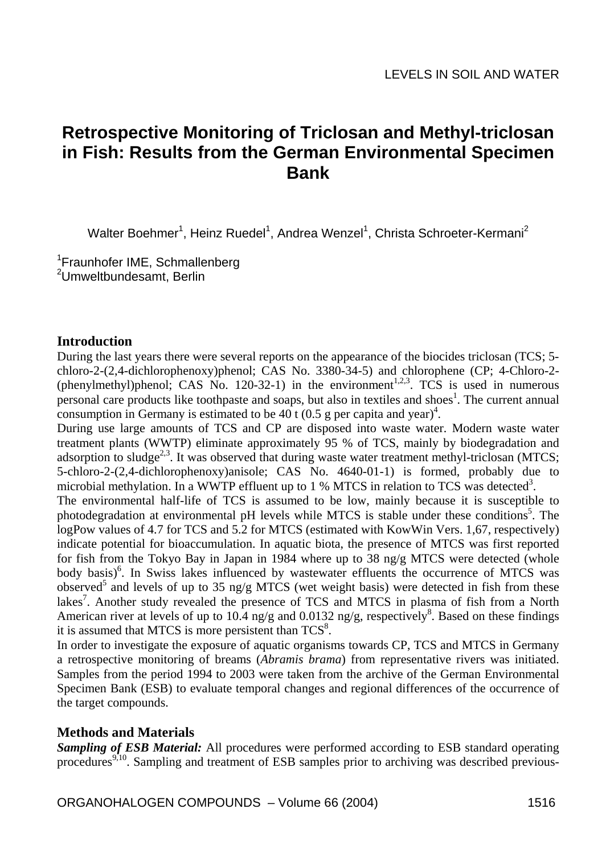# **Retrospective Monitoring of Triclosan and Methyl-triclosan in Fish: Results from the German Environmental Specimen Bank**

Walter Boehmer<sup>1</sup>, Heinz Ruedel<sup>1</sup>, Andrea Wenzel<sup>1</sup>, Christa Schroeter-Kermani<sup>2</sup>

<sup>1</sup>Fraunhofer IME, Schmallenberg <sup>2</sup>Umweltbundesamt, Berlin

## **Introduction**

During the last years there were several reports on the appearance of the biocides triclosan (TCS; 5 chloro-2-(2,4-dichlorophenoxy)phenol; CAS No. 3380-34-5) and chlorophene (CP; 4-Chloro-2- (phenylmethyl)phenol; CAS No. 120-32-1) in the environment<sup>1,2,3</sup>. TCS is used in numerous personal care products like toothpaste and soaps, but also in textiles and shoes<sup>1</sup>. The current annual consumption in Germany is estimated to be  $40$  t (0.5 g per capita and year)<sup>4</sup>.

During use large amounts of TCS and CP are disposed into waste water. Modern waste water treatment plants (WWTP) eliminate approximately 95 % of TCS, mainly by biodegradation and adsorption to sludge<sup>2,3</sup>. It was observed that during waste water treatment methyl-triclosan (MTCS; 5-chloro-2-(2,4-dichlorophenoxy)anisole; CAS No. 4640-01-1) is formed, probably due to microbial methylation. In a WWTP effluent up to  $1\%$  MTCS in relation to TCS was detected<sup>3</sup>.

The environmental half-life of TCS is assumed to be low, mainly because it is susceptible to photodegradation at environmental pH levels while MTCS is stable under these conditions<sup>5</sup>. The logPow values of 4.7 for TCS and 5.2 for MTCS (estimated with KowWin Vers. 1,67, respectively) indicate potential for bioaccumulation. In aquatic biota, the presence of MTCS was first reported for fish from the Tokyo Bay in Japan in 1984 where up to 38 ng/g MTCS were detected (whole body basis)<sup>6</sup>. In Swiss lakes influenced by wastewater effluents the occurrence of MTCS was observed<sup>5</sup> and levels of up to 35 ng/g MTCS (wet weight basis) were detected in fish from these lakes<sup>7</sup>. Another study revealed the presence of TCS and MTCS in plasma of fish from a North American river at levels of up to 10.4 ng/g and 0.0132 ng/g, respectively<sup>8</sup>. Based on these findings it is assumed that MTCS is more persistent than  $TCS<sup>8</sup>$ .

In order to investigate the exposure of aquatic organisms towards CP, TCS and MTCS in Germany a retrospective monitoring of breams (*Abramis brama*) from representative rivers was initiated. Samples from the period 1994 to 2003 were taken from the archive of the German Environmental Specimen Bank (ESB) to evaluate temporal changes and regional differences of the occurrence of the target compounds.

## **Methods and Materials**

*Sampling of ESB Material:* All procedures were performed according to ESB standard operating procedures<sup>9,10</sup>. Sampling and treatment of ESB samples prior to archiving was described previous-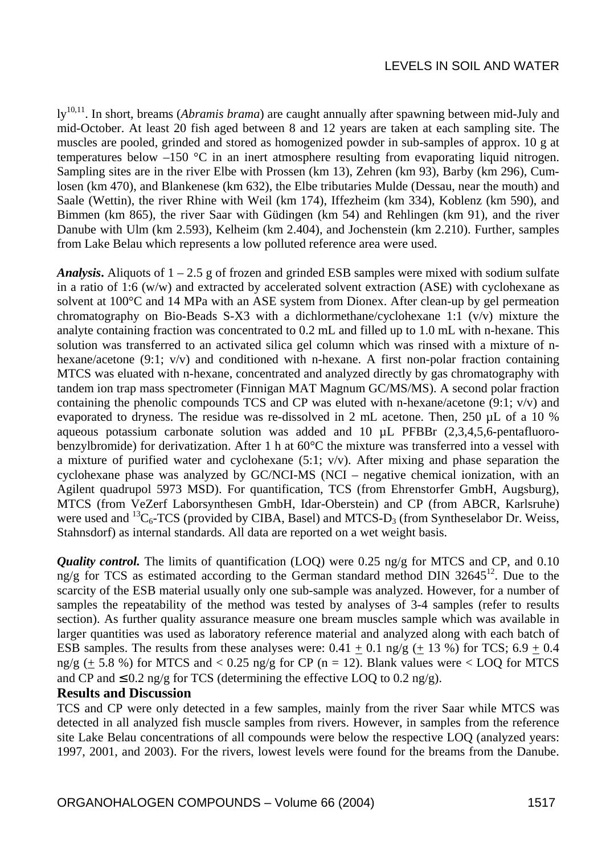## LEVELS IN SOIL AND WATER

ly10,11. In short, breams (*Abramis brama*) are caught annually after spawning between mid-July and mid-October. At least 20 fish aged between 8 and 12 years are taken at each sampling site. The muscles are pooled, grinded and stored as homogenized powder in sub-samples of approx. 10 g at temperatures below –150 °C in an inert atmosphere resulting from evaporating liquid nitrogen. Sampling sites are in the river Elbe with Prossen (km 13), Zehren (km 93), Barby (km 296), Cumlosen (km 470), and Blankenese (km 632), the Elbe tributaries Mulde (Dessau, near the mouth) and Saale (Wettin), the river Rhine with Weil (km 174), Iffezheim (km 334), Koblenz (km 590), and Bimmen (km 865), the river Saar with Güdingen (km 54) and Rehlingen (km 91), and the river Danube with Ulm (km 2.593), Kelheim (km 2.404), and Jochenstein (km 2.210). Further, samples from Lake Belau which represents a low polluted reference area were used.

**Analysis.** Aliquots of  $1 - 2.5$  g of frozen and grinded ESB samples were mixed with sodium sulfate in a ratio of 1:6 (w/w) and extracted by accelerated solvent extraction (ASE) with cyclohexane as solvent at 100°C and 14 MPa with an ASE system from Dionex. After clean-up by gel permeation chromatography on Bio-Beads S-X3 with a dichlormethane/cyclohexane 1:1 (v/v) mixture the analyte containing fraction was concentrated to 0.2 mL and filled up to 1.0 mL with n-hexane. This solution was transferred to an activated silica gel column which was rinsed with a mixture of nhexane/acetone (9:1; v/v) and conditioned with n-hexane. A first non-polar fraction containing MTCS was eluated with n-hexane, concentrated and analyzed directly by gas chromatography with tandem ion trap mass spectrometer (Finnigan MAT Magnum GC/MS/MS). A second polar fraction containing the phenolic compounds TCS and CP was eluted with n-hexane/acetone  $(9:1; v/v)$  and evaporated to dryness. The residue was re-dissolved in 2 mL acetone. Then, 250 µL of a 10 % aqueous potassium carbonate solution was added and 10 µL PFBBr (2,3,4,5,6-pentafluorobenzylbromide) for derivatization. After 1 h at 60°C the mixture was transferred into a vessel with a mixture of purified water and cyclohexane  $(5:1; v/v)$ . After mixing and phase separation the cyclohexane phase was analyzed by GC/NCI-MS (NCI – negative chemical ionization, with an Agilent quadrupol 5973 MSD). For quantification, TCS (from Ehrenstorfer GmbH, Augsburg), MTCS (from VeZerf Laborsynthesen GmbH, Idar-Oberstein) and CP (from ABCR, Karlsruhe) were used and  ${}^{13}C_6$ -TCS (provided by CIBA, Basel) and MTCS-D<sub>3</sub> (from Syntheselabor Dr. Weiss, Stahnsdorf) as internal standards. All data are reported on a wet weight basis.

*Quality control.* The limits of quantification (LOQ) were 0.25 ng/g for MTCS and CP, and 0.10 ng/g for TCS as estimated according to the German standard method DIN 32645<sup>12</sup>. Due to the scarcity of the ESB material usually only one sub-sample was analyzed. However, for a number of samples the repeatability of the method was tested by analyses of 3-4 samples (refer to results section). As further quality assurance measure one bream muscles sample which was available in larger quantities was used as laboratory reference material and analyzed along with each batch of ESB samples. The results from these analyses were:  $0.41 + 0.1$  ng/g (+ 13 %) for TCS; 6.9 + 0.4 ng/g (+ 5.8 %) for MTCS and < 0.25 ng/g for CP (n = 12). Blank values were  $\lt$  LOQ for MTCS and CP and  $\leq 0.2$  ng/g for TCS (determining the effective LOO to 0.2 ng/g).

## **Results and Discussion**

TCS and CP were only detected in a few samples, mainly from the river Saar while MTCS was detected in all analyzed fish muscle samples from rivers. However, in samples from the reference site Lake Belau concentrations of all compounds were below the respective LOQ (analyzed years: 1997, 2001, and 2003). For the rivers, lowest levels were found for the breams from the Danube.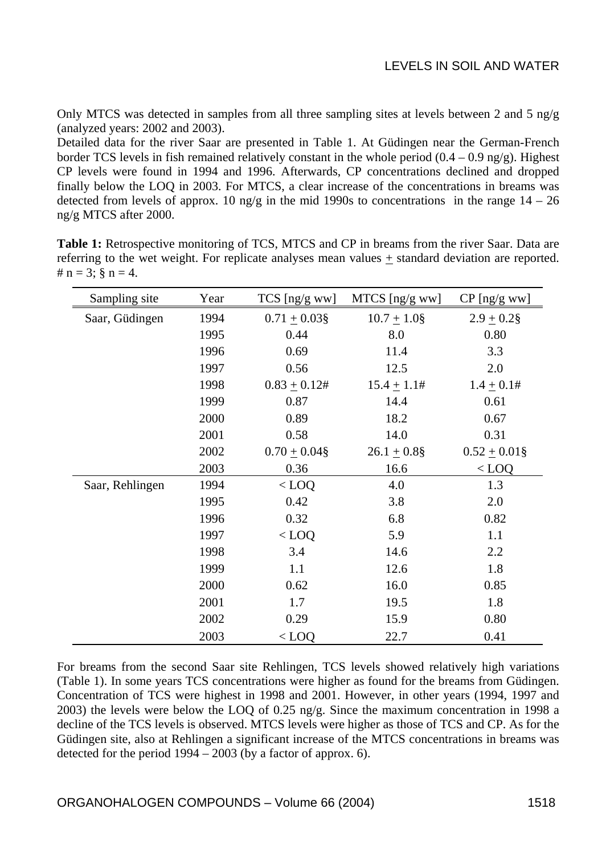Only MTCS was detected in samples from all three sampling sites at levels between 2 and 5 ng/g (analyzed years: 2002 and 2003).

Detailed data for the river Saar are presented in Table 1. At Güdingen near the German-French border TCS levels in fish remained relatively constant in the whole period  $(0.4 - 0.9 \text{ ng/g})$ . Highest CP levels were found in 1994 and 1996. Afterwards, CP concentrations declined and dropped finally below the LOQ in 2003. For MTCS, a clear increase of the concentrations in breams was detected from levels of approx. 10 ng/g in the mid 1990s to concentrations in the range  $14 - 26$ ng/g MTCS after 2000.

|                              |  | <b>Table 1:</b> Retrospective monitoring of TCS, MTCS and CP in breams from the river Saar. Data are |  |  |  |  |
|------------------------------|--|------------------------------------------------------------------------------------------------------|--|--|--|--|
|                              |  | referring to the wet weight. For replicate analyses mean values + standard deviation are reported.   |  |  |  |  |
| # $n = 3$ : $\delta n = 4$ . |  |                                                                                                      |  |  |  |  |

| Sampling site   | Year | $TCS$ [ng/g ww]   | MTCS [ng/g ww]   | CP [ng/g ww]      |
|-----------------|------|-------------------|------------------|-------------------|
| Saar, Güdingen  | 1994 | $0.71 \pm 0.03$ § | $10.7 \pm 1.0$ § | $2.9 \pm 0.2$ §   |
|                 | 1995 | 0.44              | 8.0              | 0.80              |
|                 | 1996 | 0.69              | 11.4             | 3.3               |
|                 | 1997 | 0.56              | 12.5             | 2.0               |
|                 | 1998 | $0.83 \pm 0.12$ # | $15.4 \pm 1.1$ # | $1.4 \pm 0.1#$    |
|                 | 1999 | 0.87              | 14.4             | 0.61              |
|                 | 2000 | 0.89              | 18.2             | 0.67              |
|                 | 2001 | 0.58              | 14.0             | 0.31              |
|                 | 2002 | $0.70 \pm 0.04$ § | $26.1 \pm 0.8$ § | $0.52 \pm 0.01$ § |
|                 | 2003 | 0.36              | 16.6             | $<$ LOQ           |
| Saar, Rehlingen | 1994 | $<$ LOQ           | 4.0              | 1.3               |
|                 | 1995 | 0.42              | 3.8              | 2.0               |
|                 | 1996 | 0.32              | 6.8              | 0.82              |
|                 | 1997 | $<$ LOQ           | 5.9              | 1.1               |
|                 | 1998 | 3.4               | 14.6             | 2.2               |
|                 | 1999 | 1.1               | 12.6             | 1.8               |
|                 | 2000 | 0.62              | 16.0             | 0.85              |
|                 | 2001 | 1.7               | 19.5             | 1.8               |
|                 | 2002 | 0.29              | 15.9             | 0.80              |
|                 | 2003 | $<$ LOQ           | 22.7             | 0.41              |

For breams from the second Saar site Rehlingen, TCS levels showed relatively high variations (Table 1). In some years TCS concentrations were higher as found for the breams from Güdingen. Concentration of TCS were highest in 1998 and 2001. However, in other years (1994, 1997 and 2003) the levels were below the LOQ of 0.25 ng/g. Since the maximum concentration in 1998 a decline of the TCS levels is observed. MTCS levels were higher as those of TCS and CP. As for the Güdingen site, also at Rehlingen a significant increase of the MTCS concentrations in breams was detected for the period 1994 – 2003 (by a factor of approx. 6).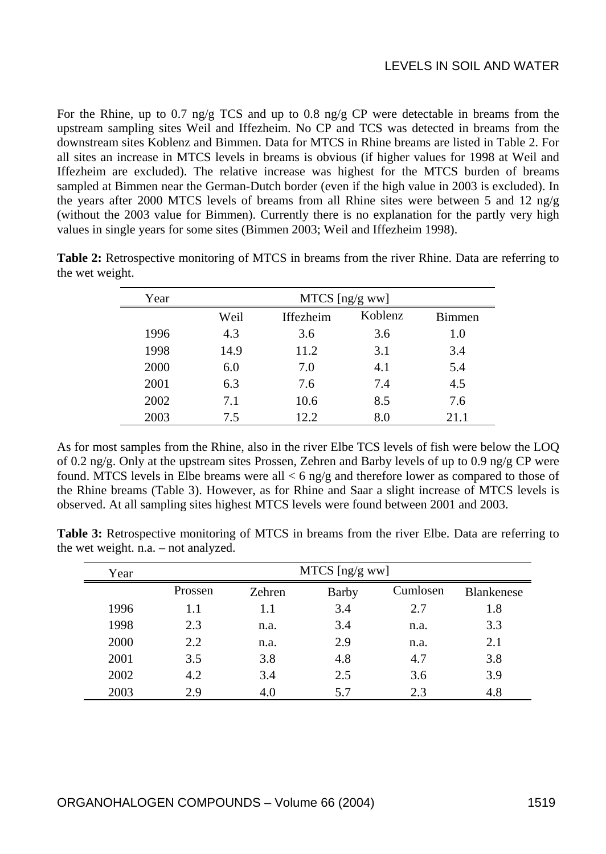For the Rhine, up to 0.7 ng/g TCS and up to 0.8 ng/g CP were detectable in breams from the upstream sampling sites Weil and Iffezheim. No CP and TCS was detected in breams from the downstream sites Koblenz and Bimmen. Data for MTCS in Rhine breams are listed in Table 2. For all sites an increase in MTCS levels in breams is obvious (if higher values for 1998 at Weil and Iffezheim are excluded). The relative increase was highest for the MTCS burden of breams sampled at Bimmen near the German-Dutch border (even if the high value in 2003 is excluded). In the years after 2000 MTCS levels of breams from all Rhine sites were between 5 and 12 ng/g (without the 2003 value for Bimmen). Currently there is no explanation for the partly very high values in single years for some sites (Bimmen 2003; Weil and Iffezheim 1998).

| Year | MTCS [ng/g ww] |                  |         |               |  |  |  |
|------|----------------|------------------|---------|---------------|--|--|--|
|      | Weil           | <b>Iffezheim</b> | Koblenz | <b>Bimmen</b> |  |  |  |
| 1996 | 4.3            | 3.6              | 3.6     | 1.0           |  |  |  |
| 1998 | 14.9           | 11.2             | 3.1     | 3.4           |  |  |  |
| 2000 | 6.0            | 7.0              | 4.1     | 5.4           |  |  |  |
| 2001 | 6.3            | 7.6              | 7.4     | 4.5           |  |  |  |
| 2002 | 7.1            | 10.6             | 8.5     | 7.6           |  |  |  |
| 2003 | 7.5            | 12.2             | 8.0     | 21.1          |  |  |  |

**Table 2:** Retrospective monitoring of MTCS in breams from the river Rhine. Data are referring to the wet weight.

As for most samples from the Rhine, also in the river Elbe TCS levels of fish were below the LOQ of 0.2 ng/g. Only at the upstream sites Prossen, Zehren and Barby levels of up to 0.9 ng/g CP were found. MTCS levels in Elbe breams were all  $<$  6 ng/g and therefore lower as compared to those of the Rhine breams (Table 3). However, as for Rhine and Saar a slight increase of MTCS levels is observed. At all sampling sites highest MTCS levels were found between 2001 and 2003.

| Year | MTCS [ng/g ww] |                 |     |          |                   |  |  |  |
|------|----------------|-----------------|-----|----------|-------------------|--|--|--|
|      | Prossen        | Barby<br>Zehren |     | Cumlosen | <b>Blankenese</b> |  |  |  |
| 1996 | 1.1            | 1.1             | 3.4 | 2.7      | 1.8               |  |  |  |
| 1998 | 2.3            | n.a.            | 3.4 | n.a.     | 3.3               |  |  |  |
| 2000 | 2.2            | n.a.            | 2.9 | n.a.     | 2.1               |  |  |  |
| 2001 | 3.5            | 3.8             | 4.8 | 4.7      | 3.8               |  |  |  |
| 2002 | 4.2            | 3.4             | 2.5 | 3.6      | 3.9               |  |  |  |
| 2003 | 2.9            | 4.0             | 5.7 | 2.3      | 4.8               |  |  |  |

**Table 3:** Retrospective monitoring of MTCS in breams from the river Elbe. Data are referring to the wet weight. n.a. – not analyzed.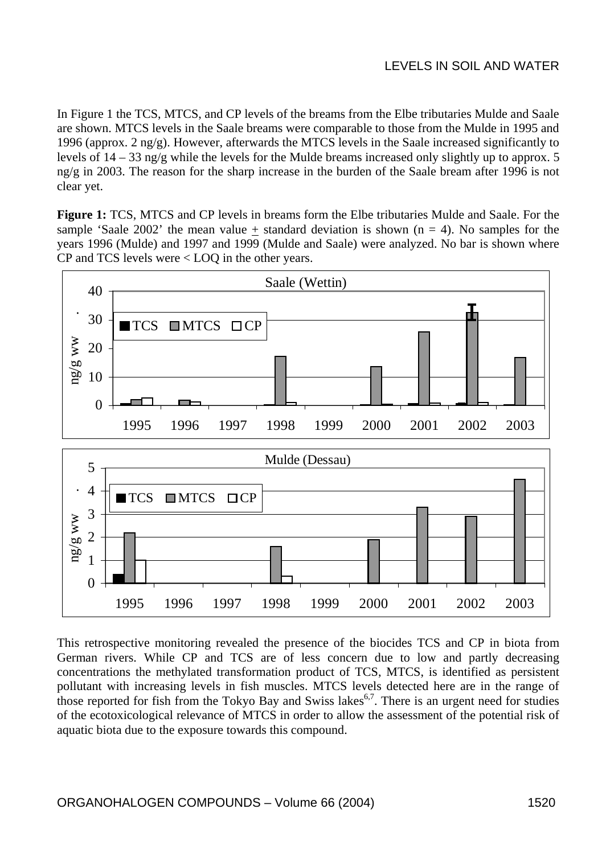In Figure 1 the TCS, MTCS, and CP levels of the breams from the Elbe tributaries Mulde and Saale are shown. MTCS levels in the Saale breams were comparable to those from the Mulde in 1995 and 1996 (approx. 2 ng/g). However, afterwards the MTCS levels in the Saale increased significantly to levels of  $14 - 33$  ng/g while the levels for the Mulde breams increased only slightly up to approx. 5 ng/g in 2003. The reason for the sharp increase in the burden of the Saale bream after 1996 is not clear yet.

**Figure 1:** TCS, MTCS and CP levels in breams form the Elbe tributaries Mulde and Saale. For the sample 'Saale 2002' the mean value + standard deviation is shown  $(n = 4)$ . No samples for the years 1996 (Mulde) and 1997 and 1999 (Mulde and Saale) were analyzed. No bar is shown where CP and TCS levels were < LOQ in the other years.



This retrospective monitoring revealed the presence of the biocides TCS and CP in biota from German rivers. While CP and TCS are of less concern due to low and partly decreasing concentrations the methylated transformation product of TCS, MTCS, is identified as persistent pollutant with increasing levels in fish muscles. MTCS levels detected here are in the range of those reported for fish from the Tokyo Bay and Swiss lakes<sup> $6,7$ </sup>. There is an urgent need for studies of the ecotoxicological relevance of MTCS in order to allow the assessment of the potential risk of aquatic biota due to the exposure towards this compound.